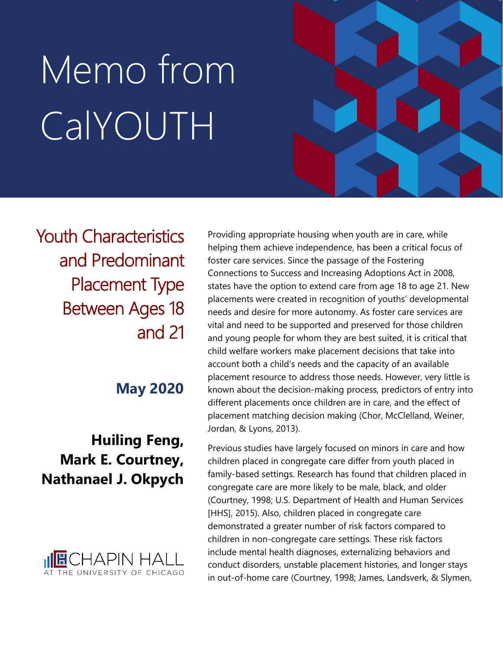# Memo from CalYOUTH

Youth Characteristics and Predominant Placement Type Between Ages 18 and 21

**May 2020**

## **Huiling Feng, Mark E. Courtney, Nathanael J. Okpych**



Providing appropriate housing when youth are in care, while helping them achieve independence, has been a critical focus of foster care services. Since the passage of the Fostering Connections to Success and Increasing Adoptions Act in 2008, states have the option to extend care from age 18 to age 21. New placements were created in recognition of youths' developmental needs and desire for more autonomy. As foster care services are vital and need to be supported and preserved for those children and young people for whom they are best suited, it is critical that child welfare workers make placement decisions that take into account both a child's needs and the capacity of an available placement resource to address those needs. However, very little is known about the decision-making process, predictors of entry into different placements once children are in care, and the effect of placement matching decision making (Chor, McClelland, Weiner, Jordan, & Lyons, 2013).

Previous studies have largely focused on minors in care and how children placed in congregate care differ from youth placed in family-based settings. Research has found that children placed in congregate care are more likely to be male, black, and older (Courtney, 1998; U.S. Department of Health and Human Services [HHS], 2015). Also, children placed in congregate care demonstrated a greater number of risk factors compared to children in non-congregate care settings. These risk factors include mental health diagnoses, externalizing behaviors and conduct disorders, unstable placement histories, and longer stays in out-of-home care (Courtney, 1998; James, Landsverk, & Slymen,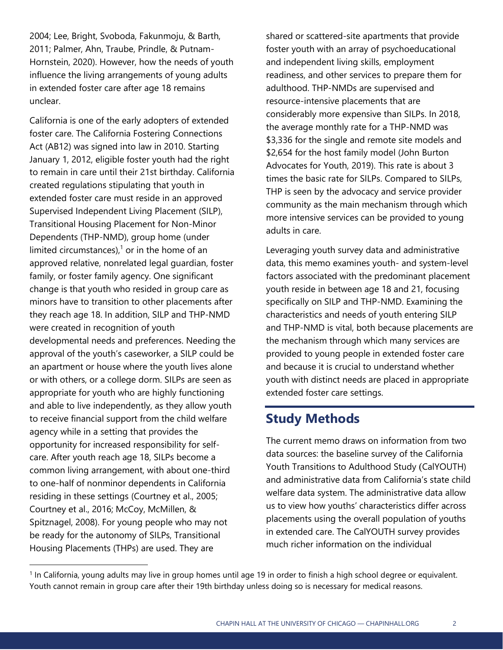2004; Lee, Bright, Svoboda, Fakunmoju, & Barth, 2011; Palmer, Ahn, Traube, Prindle, & Putnam-Hornstein, 2020). However, how the needs of youth influence the living arrangements of young adults in extended foster care after age 18 remains unclear.

California is one of the early adopters of extended foster care. The California Fostering Connections Act (AB12) was signed into law in 2010. Starting January 1, 2012, eligible foster youth had the right to remain in care until their 21st birthday. California created regulations stipulating that youth in extended foster care must reside in an approved Supervised Independent Living Placement (SILP), Transitional Housing Placement for Non-Minor Dependents (THP-NMD), group home (under limited circumstances), $1$  or in the home of an approved relative, nonrelated legal guardian, foster family, or foster family agency. One significant change is that youth who resided in group care as minors have to transition to other placements after they reach age 18. In addition, SILP and THP-NMD were created in recognition of youth developmental needs and preferences. Needing the approval of the youth's caseworker, a SILP could be an apartment or house where the youth lives alone or with others, or a college dorm. SILPs are seen as appropriate for youth who are highly functioning and able to live independently, as they allow youth to receive financial support from the child welfare agency while in a setting that provides the opportunity for increased responsibility for selfcare. After youth reach age 18, SILPs become a common living arrangement, with about one-third to one-half of nonminor dependents in California residing in these settings (Courtney et al., 2005; Courtney et al., 2016; McCoy, McMillen, & Spitznagel, 2008). For young people who may not be ready for the autonomy of SILPs, Transitional Housing Placements (THPs) are used. They are

shared or scattered-site apartments that provide foster youth with an array of psychoeducational and independent living skills, employment readiness, and other services to prepare them for adulthood. THP-NMDs are supervised and resource-intensive placements that are considerably more expensive than SILPs. In 2018, the average monthly rate for a THP-NMD was \$3,336 for the single and remote site models and \$2,654 for the host family model (John Burton Advocates for Youth, 2019). This rate is about 3 times the basic rate for SILPs. Compared to SILPs, THP is seen by the advocacy and service provider community as the main mechanism through which more intensive services can be provided to young adults in care.

Leveraging youth survey data and administrative data, this memo examines youth- and system-level factors associated with the predominant placement youth reside in between age 18 and 21, focusing specifically on SILP and THP-NMD. Examining the characteristics and needs of youth entering SILP and THP-NMD is vital, both because placements are the mechanism through which many services are provided to young people in extended foster care and because it is crucial to understand whether youth with distinct needs are placed in appropriate extended foster care settings.

## **Study Methods**

The current memo draws on information from two data sources: the baseline survey of the California Youth Transitions to Adulthood Study (CalYOUTH) and administrative data from California's state child welfare data system. The administrative data allow us to view how youths' characteristics differ across placements using the overall population of youths in extended care. The CalYOUTH survey provides much richer information on the individual

<sup>&</sup>lt;sup>1</sup> In California, young adults may live in group homes until age 19 in order to finish a high school degree or equivalent. Youth cannot remain in group care after their 19th birthday unless doing so is necessary for medical reasons.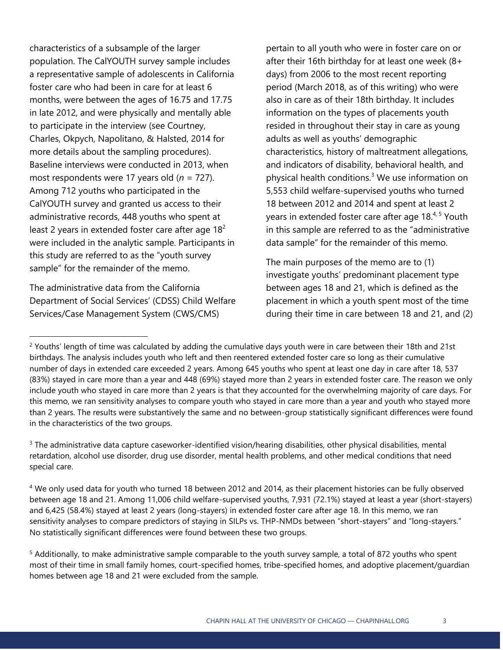characteristics of a subsample of the larger population. The CalYOUTH survey sample includes a representative sample of adolescents in California foster care who had been in care for at least 6 months, were between the ages of 16.75 and 17.75 in late 2012, and were physically and mentally able to participate in the interview (see Courtney, Charles, Okpych, Napolitano, & Halsted, 2014 for more details about the sampling procedures). Baseline interviews were conducted in 2013, when most respondents were 17 years old (*n* = 727). Among 712 youths who participated in the CalYOUTH survey and granted us access to their administrative records, 448 youths who spent at least 2 years in extended foster care after age  $18<sup>2</sup>$ were included in the analytic sample. Participants in this study are referred to as the "youth survey sample" for the remainder of the memo.

The administrative data from the California Department of Social Services' (CDSS) Child Welfare Services/Case Management System (CWS/CMS)

pertain to all youth who were in foster care on or after their 16th birthday for at least one week (8+ days) from 2006 to the most recent reporting period (March 2018, as of this writing) who were also in care as of their 18th birthday. It includes information on the types of placements youth resided in throughout their stay in care as young adults as well as youths' demographic characteristics, history of maltreatment allegations, and indicators of disability, behavioral health, and physical health conditions.<sup>3</sup> We use information on 5,553 child welfare-supervised youths who turned 18 between 2012 and 2014 and spent at least 2 years in extended foster care after age 18.<sup>4, 5</sup> Youth in this sample are referred to as the "administrative data sample" for the remainder of this memo.

The main purposes of the memo are to (1) investigate youths' predominant placement type between ages 18 and 21, which is defined as the placement in which a youth spent most of the time during their time in care between 18 and 21, and (2)

<sup>&</sup>lt;sup>2</sup> Youths' length of time was calculated by adding the cumulative days youth were in care between their 18th and 21st birthdays. The analysis includes youth who left and then reentered extended foster care so long as their cumulative number of days in extended care exceeded 2 years. Among 645 youths who spent at least one day in care after 18, 537 (83%) stayed in care more than a year and 448 (69%) stayed more than 2 years in extended foster care. The reason we only include youth who stayed in care more than 2 years is that they accounted for the overwhelming majority of care days. For this memo, we ran sensitivity analyses to compare youth who stayed in care more than a year and youth who stayed more than 2 years. The results were substantively the same and no between-group statistically significant differences were found in the characteristics of the two groups.

<sup>&</sup>lt;sup>3</sup> The administrative data capture caseworker-identified vision/hearing disabilities, other physical disabilities, mental retardation, alcohol use disorder, drug use disorder, mental health problems, and other medical conditions that need special care.

<sup>4</sup> We only used data for youth who turned 18 between 2012 and 2014, as their placement histories can be fully observed between age 18 and 21. Among 11,006 child welfare-supervised youths, 7,931 (72.1%) stayed at least a year (short-stayers) and 6,425 (58.4%) stayed at least 2 years (long-stayers) in extended foster care after age 18. In this memo, we ran sensitivity analyses to compare predictors of staying in SILPs vs. THP-NMDs between "short-stayers" and "long-stayers." No statistically significant differences were found between these two groups.

<sup>5</sup> Additionally, to make administrative sample comparable to the youth survey sample, a total of 872 youths who spent most of their time in small family homes, court-specified homes, tribe-specified homes, and adoptive placement/guardian homes between age 18 and 21 were excluded from the sample.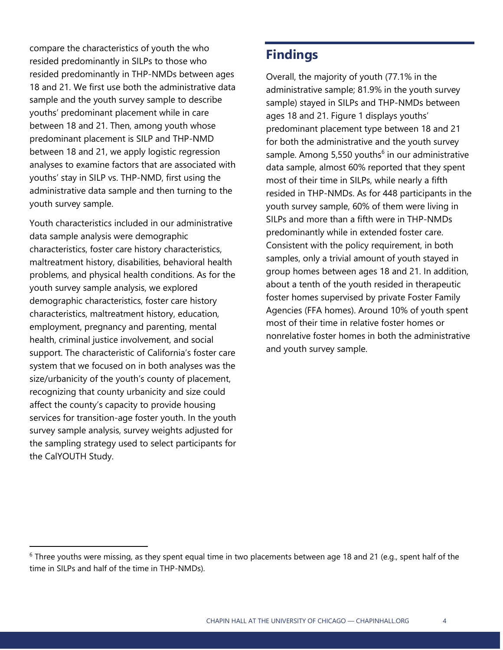compare the characteristics of youth the who resided predominantly in SILPs to those who resided predominantly in THP-NMDs between ages 18 and 21. We first use both the administrative data sample and the youth survey sample to describe youths' predominant placement while in care between 18 and 21. Then, among youth whose predominant placement is SILP and THP-NMD between 18 and 21, we apply logistic regression analyses to examine factors that are associated with youths' stay in SILP vs. THP-NMD, first using the administrative data sample and then turning to the youth survey sample.

Youth characteristics included in our administrative data sample analysis were demographic characteristics, foster care history characteristics, maltreatment history, disabilities, behavioral health problems, and physical health conditions. As for the youth survey sample analysis, we explored demographic characteristics, foster care history characteristics, maltreatment history, education, employment, pregnancy and parenting, mental health, criminal justice involvement, and social support. The characteristic of California's foster care system that we focused on in both analyses was the size/urbanicity of the youth's county of placement, recognizing that county urbanicity and size could affect the county's capacity to provide housing services for transition-age foster youth. In the youth survey sample analysis, survey weights adjusted for the sampling strategy used to select participants for the CalYOUTH Study.

## **Findings**

Overall, the majority of youth (77.1% in the administrative sample; 81.9% in the youth survey sample) stayed in SILPs and THP-NMDs between ages 18 and 21. Figure 1 displays youths' predominant placement type between 18 and 21 for both the administrative and the youth survey sample. Among 5,550 youths<sup>6</sup> in our administrative data sample, almost 60% reported that they spent most of their time in SILPs, while nearly a fifth resided in THP-NMDs. As for 448 participants in the youth survey sample, 60% of them were living in SILPs and more than a fifth were in THP-NMDs predominantly while in extended foster care. Consistent with the policy requirement, in both samples, only a trivial amount of youth stayed in group homes between ages 18 and 21. In addition, about a tenth of the youth resided in therapeutic foster homes supervised by private Foster Family Agencies (FFA homes). Around 10% of youth spent most of their time in relative foster homes or nonrelative foster homes in both the administrative and youth survey sample.

 $6$  Three youths were missing, as they spent equal time in two placements between age 18 and 21 (e.g., spent half of the time in SILPs and half of the time in THP-NMDs).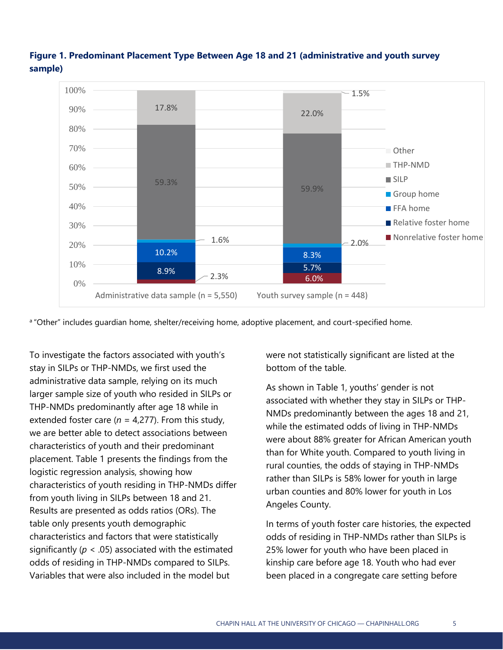

### **Figure 1. Predominant Placement Type Between Age 18 and 21 (administrative and youth survey sample)**

a "Other" includes quardian home, shelter/receiving home, adoptive placement, and court-specified home.

To investigate the factors associated with youth's stay in SILPs or THP-NMDs, we first used the administrative data sample, relying on its much larger sample size of youth who resided in SILPs or THP-NMDs predominantly after age 18 while in extended foster care ( $n = 4,277$ ). From this study, we are better able to detect associations between characteristics of youth and their predominant placement. Table 1 presents the findings from the logistic regression analysis, showing how characteristics of youth residing in THP-NMDs differ from youth living in SILPs between 18 and 21. Results are presented as odds ratios (ORs). The table only presents youth demographic characteristics and factors that were statistically significantly ( $p < .05$ ) associated with the estimated odds of residing in THP-NMDs compared to SILPs. Variables that were also included in the model but

were not statistically significant are listed at the bottom of the table.

As shown in Table 1, youths' gender is not associated with whether they stay in SILPs or THP-NMDs predominantly between the ages 18 and 21, while the estimated odds of living in THP-NMDs were about 88% greater for African American youth than for White youth. Compared to youth living in rural counties, the odds of staying in THP-NMDs rather than SILPs is 58% lower for youth in large urban counties and 80% lower for youth in Los Angeles County.

In terms of youth foster care histories, the expected odds of residing in THP-NMDs rather than SILPs is 25% lower for youth who have been placed in kinship care before age 18. Youth who had ever been placed in a congregate care setting before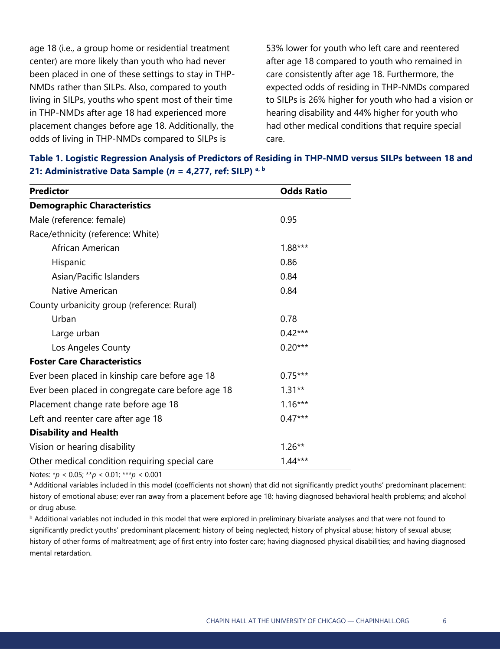age 18 (i.e., a group home or residential treatment center) are more likely than youth who had never been placed in one of these settings to stay in THP-NMDs rather than SILPs. Also, compared to youth living in SILPs, youths who spent most of their time in THP-NMDs after age 18 had experienced more placement changes before age 18. Additionally, the odds of living in THP-NMDs compared to SILPs is

53% lower for youth who left care and reentered after age 18 compared to youth who remained in care consistently after age 18. Furthermore, the expected odds of residing in THP-NMDs compared to SILPs is 26% higher for youth who had a vision or hearing disability and 44% higher for youth who had other medical conditions that require special care.

| <b>Predictor</b>                                  | <b>Odds Ratio</b> |
|---------------------------------------------------|-------------------|
| <b>Demographic Characteristics</b>                |                   |
| Male (reference: female)                          | 0.95              |
| Race/ethnicity (reference: White)                 |                   |
| African American                                  | $1.88***$         |
| Hispanic                                          | 0.86              |
| Asian/Pacific Islanders                           | 0.84              |
| Native American                                   | 0.84              |
| County urbanicity group (reference: Rural)        |                   |
| Urban                                             | 0.78              |
| Large urban                                       | $0.42***$         |
| Los Angeles County                                | $0.20***$         |
| <b>Foster Care Characteristics</b>                |                   |
| Ever been placed in kinship care before age 18    | $0.75***$         |
| Ever been placed in congregate care before age 18 | $1.31**$          |
| Placement change rate before age 18               | $1.16***$         |
| Left and reenter care after age 18                | $0.47***$         |
| <b>Disability and Health</b>                      |                   |
| Vision or hearing disability                      | $1.26**$          |
| Other medical condition requiring special care    | $1.44***$         |

#### **Table 1. Logistic Regression Analysis of Predictors of Residing in THP-NMD versus SILPs between 18 and 21: Administrative Data Sample (***n* **= 4,277, ref: SILP) a, b**

Notes: \**p* < 0.05; \*\**p* < 0.01; \*\*\**p* < 0.001

a Additional variables included in this model (coefficients not shown) that did not significantly predict youths' predominant placement: history of emotional abuse; ever ran away from a placement before age 18; having diagnosed behavioral health problems; and alcohol or drug abuse.

**b** Additional variables not included in this model that were explored in preliminary bivariate analyses and that were not found to significantly predict youths' predominant placement: history of being neglected; history of physical abuse; history of sexual abuse; history of other forms of maltreatment; age of first entry into foster care; having diagnosed physical disabilities; and having diagnosed mental retardation.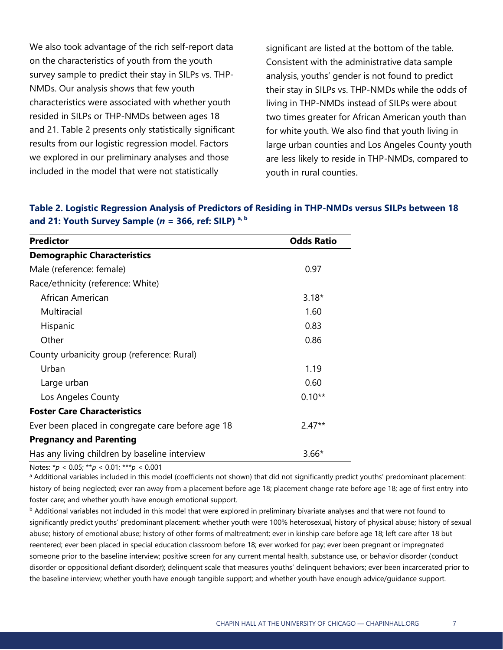We also took advantage of the rich self-report data on the characteristics of youth from the youth survey sample to predict their stay in SILPs vs. THP-NMDs. Our analysis shows that few youth characteristics were associated with whether youth resided in SILPs or THP-NMDs between ages 18 and 21. Table 2 presents only statistically significant results from our logistic regression model. Factors we explored in our preliminary analyses and those included in the model that were not statistically

significant are listed at the bottom of the table. Consistent with the administrative data sample analysis, youths' gender is not found to predict their stay in SILPs vs. THP-NMDs while the odds of living in THP-NMDs instead of SILPs were about two times greater for African American youth than for white youth. We also find that youth living in large urban counties and Los Angeles County youth are less likely to reside in THP-NMDs, compared to youth in rural counties.

| <b>Predictor</b>                                  | <b>Odds Ratio</b> |
|---------------------------------------------------|-------------------|
| <b>Demographic Characteristics</b>                |                   |
| Male (reference: female)                          | 0.97              |
| Race/ethnicity (reference: White)                 |                   |
| African American                                  | $3.18*$           |
| Multiracial                                       | 1.60              |
| Hispanic                                          | 0.83              |
| Other                                             | 0.86              |
| County urbanicity group (reference: Rural)        |                   |
| Urban                                             | 1.19              |
| Large urban                                       | 0.60              |
| Los Angeles County                                | $0.10**$          |
| <b>Foster Care Characteristics</b>                |                   |
| Ever been placed in congregate care before age 18 | $2.47**$          |
| <b>Pregnancy and Parenting</b>                    |                   |
| Has any living children by baseline interview     | $3.66*$           |

| Table 2. Logistic Regression Analysis of Predictors of Residing in THP-NMDs versus SILPs between 18 |  |
|-----------------------------------------------------------------------------------------------------|--|
| and 21: Youth Survey Sample ( $n = 366$ , ref: SILP) a, b                                           |  |

Notes: \**p* < 0.05; \*\**p* < 0.01; \*\*\**p* < 0.001

a Additional variables included in this model (coefficients not shown) that did not significantly predict youths' predominant placement: history of being neglected; ever ran away from a placement before age 18; placement change rate before age 18; age of first entry into foster care; and whether youth have enough emotional support.

**b** Additional variables not included in this model that were explored in preliminary bivariate analyses and that were not found to significantly predict youths' predominant placement: whether youth were 100% heterosexual, history of physical abuse; history of sexual abuse; history of emotional abuse; history of other forms of maltreatment; ever in kinship care before age 18; left care after 18 but reentered; ever been placed in special education classroom before 18; ever worked for pay; ever been pregnant or impregnated someone prior to the baseline interview; positive screen for any current mental health, substance use, or behavior disorder (conduct disorder or oppositional defiant disorder); delinquent scale that measures youths' delinquent behaviors; ever been incarcerated prior to the baseline interview; whether youth have enough tangible support; and whether youth have enough advice/guidance support.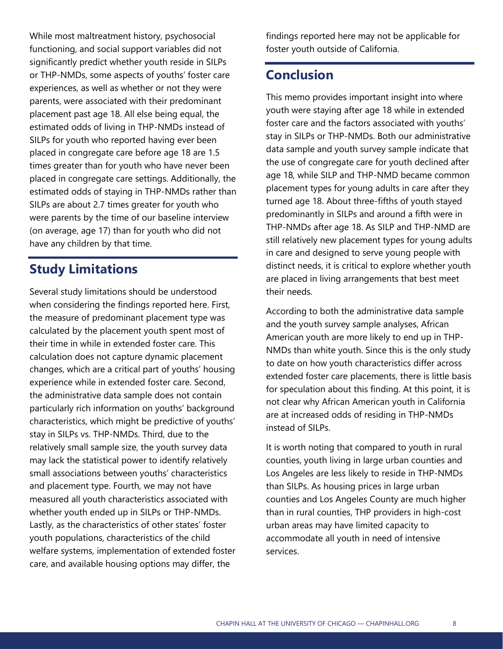While most maltreatment history, psychosocial functioning, and social support variables did not significantly predict whether youth reside in SILPs or THP-NMDs, some aspects of youths' foster care experiences, as well as whether or not they were parents, were associated with their predominant placement past age 18. All else being equal, the estimated odds of living in THP-NMDs instead of SILPs for youth who reported having ever been placed in congregate care before age 18 are 1.5 times greater than for youth who have never been placed in congregate care settings. Additionally, the estimated odds of staying in THP-NMDs rather than SILPs are about 2.7 times greater for youth who were parents by the time of our baseline interview (on average, age 17) than for youth who did not have any children by that time.

## **Study Limitations**

Several study limitations should be understood when considering the findings reported here. First, the measure of predominant placement type was calculated by the placement youth spent most of their time in while in extended foster care. This calculation does not capture dynamic placement changes, which are a critical part of youths' housing experience while in extended foster care. Second, the administrative data sample does not contain particularly rich information on youths' background characteristics, which might be predictive of youths' stay in SILPs vs. THP-NMDs. Third, due to the relatively small sample size, the youth survey data may lack the statistical power to identify relatively small associations between youths' characteristics and placement type. Fourth, we may not have measured all youth characteristics associated with whether youth ended up in SILPs or THP-NMDs. Lastly, as the characteristics of other states' foster youth populations, characteristics of the child welfare systems, implementation of extended foster care, and available housing options may differ, the

findings reported here may not be applicable for foster youth outside of California.

## **Conclusion**

This memo provides important insight into where youth were staying after age 18 while in extended foster care and the factors associated with youths' stay in SILPs or THP-NMDs. Both our administrative data sample and youth survey sample indicate that the use of congregate care for youth declined after age 18, while SILP and THP-NMD became common placement types for young adults in care after they turned age 18. About three-fifths of youth stayed predominantly in SILPs and around a fifth were in THP-NMDs after age 18. As SILP and THP-NMD are still relatively new placement types for young adults in care and designed to serve young people with distinct needs, it is critical to explore whether youth are placed in living arrangements that best meet their needs.

According to both the administrative data sample and the youth survey sample analyses, African American youth are more likely to end up in THP-NMDs than white youth. Since this is the only study to date on how youth characteristics differ across extended foster care placements, there is little basis for speculation about this finding. At this point, it is not clear why African American youth in California are at increased odds of residing in THP-NMDs instead of SILPs.

It is worth noting that compared to youth in rural counties, youth living in large urban counties and Los Angeles are less likely to reside in THP-NMDs than SILPs. As housing prices in large urban counties and Los Angeles County are much higher than in rural counties, THP providers in high-cost urban areas may have limited capacity to accommodate all youth in need of intensive services.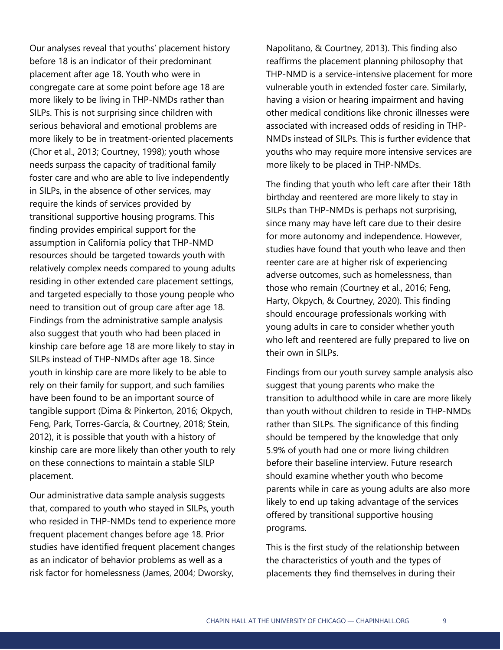Our analyses reveal that youths' placement history before 18 is an indicator of their predominant placement after age 18. Youth who were in congregate care at some point before age 18 are more likely to be living in THP-NMDs rather than SILPs. This is not surprising since children with serious behavioral and emotional problems are more likely to be in treatment-oriented placements (Chor et al., 2013; Courtney, 1998); youth whose needs surpass the capacity of traditional family foster care and who are able to live independently in SILPs, in the absence of other services, may require the kinds of services provided by transitional supportive housing programs. This finding provides empirical support for the assumption in California policy that THP-NMD resources should be targeted towards youth with relatively complex needs compared to young adults residing in other extended care placement settings, and targeted especially to those young people who need to transition out of group care after age 18. Findings from the administrative sample analysis also suggest that youth who had been placed in kinship care before age 18 are more likely to stay in SILPs instead of THP-NMDs after age 18. Since youth in kinship care are more likely to be able to rely on their family for support, and such families have been found to be an important source of tangible support (Dima & Pinkerton, 2016; Okpych, Feng, Park, Torres-García, & Courtney, 2018; Stein, 2012), it is possible that youth with a history of kinship care are more likely than other youth to rely on these connections to maintain a stable SILP placement.

Our administrative data sample analysis suggests that, compared to youth who stayed in SILPs, youth who resided in THP-NMDs tend to experience more frequent placement changes before age 18. Prior studies have identified frequent placement changes as an indicator of behavior problems as well as a risk factor for homelessness (James, 2004; Dworsky,

Napolitano, & Courtney, 2013). This finding also reaffirms the placement planning philosophy that THP-NMD is a service-intensive placement for more vulnerable youth in extended foster care. Similarly, having a vision or hearing impairment and having other medical conditions like chronic illnesses were associated with increased odds of residing in THP-NMDs instead of SILPs. This is further evidence that youths who may require more intensive services are more likely to be placed in THP-NMDs.

The finding that youth who left care after their 18th birthday and reentered are more likely to stay in SILPs than THP-NMDs is perhaps not surprising, since many may have left care due to their desire for more autonomy and independence. However, studies have found that youth who leave and then reenter care are at higher risk of experiencing adverse outcomes, such as homelessness, than those who remain (Courtney et al., 2016; Feng, Harty, Okpych, & Courtney, 2020). This finding should encourage professionals working with young adults in care to consider whether youth who left and reentered are fully prepared to live on their own in SILPs.

Findings from our youth survey sample analysis also suggest that young parents who make the transition to adulthood while in care are more likely than youth without children to reside in THP-NMDs rather than SILPs. The significance of this finding should be tempered by the knowledge that only 5.9% of youth had one or more living children before their baseline interview. Future research should examine whether youth who become parents while in care as young adults are also more likely to end up taking advantage of the services offered by transitional supportive housing programs.

This is the first study of the relationship between the characteristics of youth and the types of placements they find themselves in during their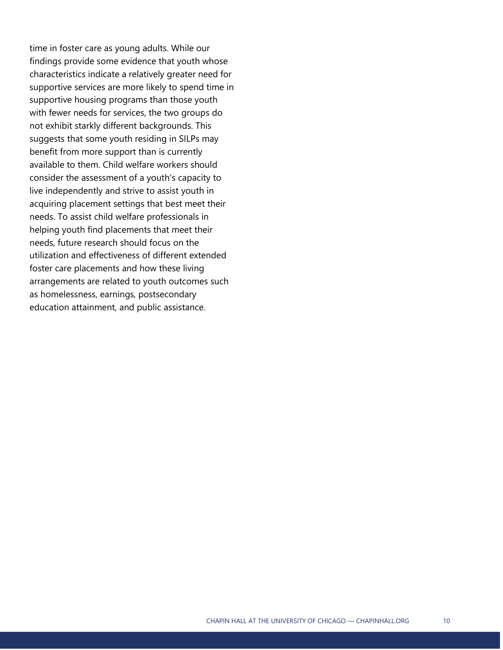time in foster care as young adults. While our findings provide some evidence that youth whose characteristics indicate a relatively greater need for supportive services are more likely to spend time in supportive housing programs than those youth with fewer needs for services, the two groups do not exhibit starkly different backgrounds. This suggests that some youth residing in SILPs may benefit from more support than is currently available to them. Child welfare workers should consider the assessment of a youth's capacity to live independently and strive to assist youth in acquiring placement settings that best meet their needs. To assist child welfare professionals in helping youth find placements that meet their needs, future research should focus on the utilization and effectiveness of different extended foster care placements and how these living arrangements are related to youth outcomes such as homelessness, earnings, postsecondary education attainment, and public assistance.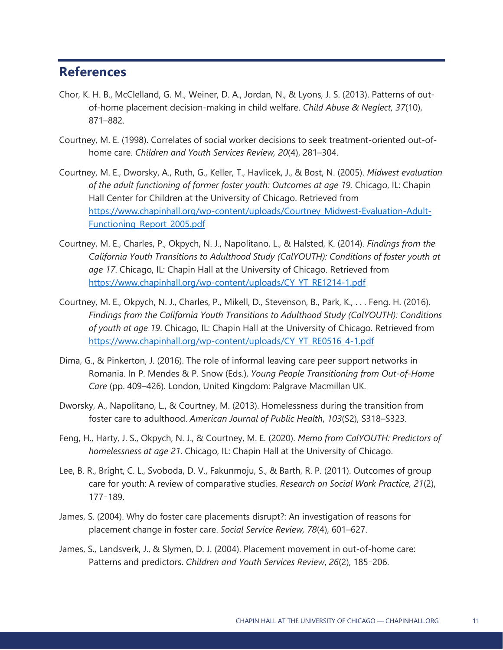## **References**

- Chor, K. H. B., McClelland, G. M., Weiner, D. A., Jordan, N., & Lyons, J. S. (2013). Patterns of outof-home placement decision-making in child welfare. *Child Abuse & Neglect, 37*(10), 871–882.
- Courtney, M. E. (1998). Correlates of social worker decisions to seek treatment-oriented out-ofhome care. *Children and Youth Services Review, 20*(4), 281–304.
- Courtney, M. E., Dworsky, A., Ruth, G., Keller, T., Havlicek, J., & Bost, N. (2005). *Midwest evaluation of the adult functioning of former foster youth: Outcomes at age 19.* Chicago, IL: Chapin Hall Center for Children at the University of Chicago. Retrieved from [https://www.chapinhall.org/wp-content/uploads/Courtney\\_Midwest-Evaluation-Adult-](https://www.chapinhall.org/wp-content/uploads/Courtney_Midwest-Evaluation-Adult-Functioning_Report_2005.pdf)[Functioning\\_Report\\_2005.pdf](https://www.chapinhall.org/wp-content/uploads/Courtney_Midwest-Evaluation-Adult-Functioning_Report_2005.pdf)
- Courtney, M. E., Charles, P., Okpych, N. J., Napolitano, L., & Halsted, K. (2014). *Findings from the California Youth Transitions to Adulthood Study (CalYOUTH): Conditions of foster youth at age 17*. Chicago, IL: Chapin Hall at the University of Chicago. Retrieved from [https://www.chapinhall.org/wp-content/uploads/CY\\_YT\\_RE1214-1.pdf](https://www.chapinhall.org/wp-content/uploads/CY_YT_RE1214-1.pdf)
- Courtney, M. E., Okpych, N. J., Charles, P., Mikell, D., Stevenson, B., Park, K., . . . Feng. H. (2016). *Findings from the California Youth Transitions to Adulthood Study (CalYOUTH): Conditions of youth at age 19*. Chicago, IL: Chapin Hall at the University of Chicago. Retrieved from [https://www.chapinhall.org/wp-content/uploads/CY\\_YT\\_RE0516\\_4-1.pdf](https://www.chapinhall.org/wp-content/uploads/CY_YT_RE0516_4-1.pdf)
- Dima, G., & Pinkerton, J. (2016). The role of informal leaving care peer support networks in Romania. In P. Mendes & P. Snow (Eds.), *Young People Transitioning from Out-of-Home Care* (pp. 409–426). London, United Kingdom: Palgrave Macmillan UK.
- Dworsky, A., Napolitano, L., & Courtney, M. (2013). Homelessness during the transition from foster care to adulthood. *American Journal of Public Health*, *103*(S2), S318–S323.
- Feng, H., Harty, J. S., Okpych, N. J., & Courtney, M. E. (2020). *Memo from CalYOUTH: Predictors of homelessness at age 21*. Chicago, IL: Chapin Hall at the University of Chicago.
- Lee, B. R., Bright, C. L., Svoboda, D. V., Fakunmoju, S., & Barth, R. P. (2011). Outcomes of group care for youth: A review of comparative studies. *Research on Social Work Practice, 21*(2), 177–189.
- James, S. (2004). Why do foster care placements disrupt?: An investigation of reasons for placement change in foster care. *Social Service Review, 78*(4), 601–627.
- James, S., Landsverk, J., & Slymen, D. J. (2004). Placement movement in out-of-home care: Patterns and predictors. *Children and Youth Services Review*, *26*(2), 185–206.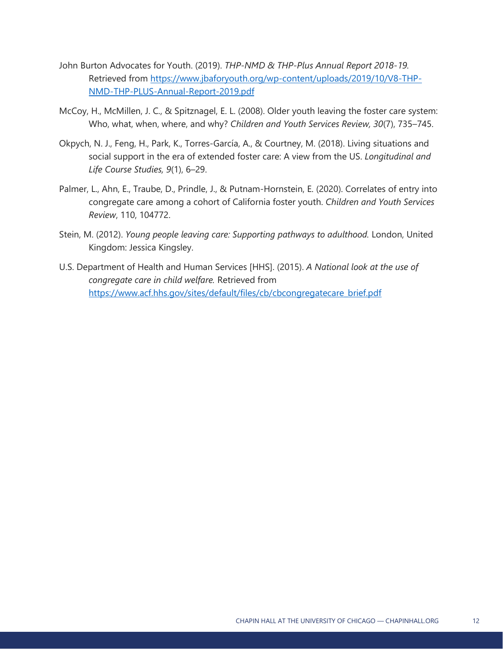- John Burton Advocates for Youth. (2019). *THP-NMD & THP-Plus Annual Report 2018-19.* Retrieved from [https://www.jbaforyouth.org/wp-content/uploads/2019/10/V8-THP-](https://www.jbaforyouth.org/wp-content/uploads/2019/10/V8-THP-NMD-THP-PLUS-Annual-Report-2019.pdf)[NMD-THP-PLUS-Annual-Report-2019.pdf](https://www.jbaforyouth.org/wp-content/uploads/2019/10/V8-THP-NMD-THP-PLUS-Annual-Report-2019.pdf)
- McCoy, H., McMillen, J. C., & Spitznagel, E. L. (2008). Older youth leaving the foster care system: Who, what, when, where, and why? *Children and Youth Services Review, 30*(7), 735–745.
- Okpych, N. J., Feng, H., Park, K., Torres-García, A., & Courtney, M. (2018). Living situations and social support in the era of extended foster care: A view from the US. *Longitudinal and Life Course Studies, 9*(1), 6–29.
- Palmer, L., Ahn, E., Traube, D., Prindle, J., & Putnam-Hornstein, E. (2020). Correlates of entry into congregate care among a cohort of California foster youth. *Children and Youth Services Review*, 110, 104772.
- Stein, M. (2012). *Young people leaving care: Supporting pathways to adulthood.* London, United Kingdom: Jessica Kingsley.
- U.S. Department of Health and Human Services [HHS]. (2015). *A National look at the use of congregate care in child welfare.* Retrieved from [https://www.acf.hhs.gov/sites/default/files/cb/cbcongregatecare\\_brief.pdf](https://www.acf.hhs.gov/sites/default/files/cb/cbcongregatecare_brief.pdf)